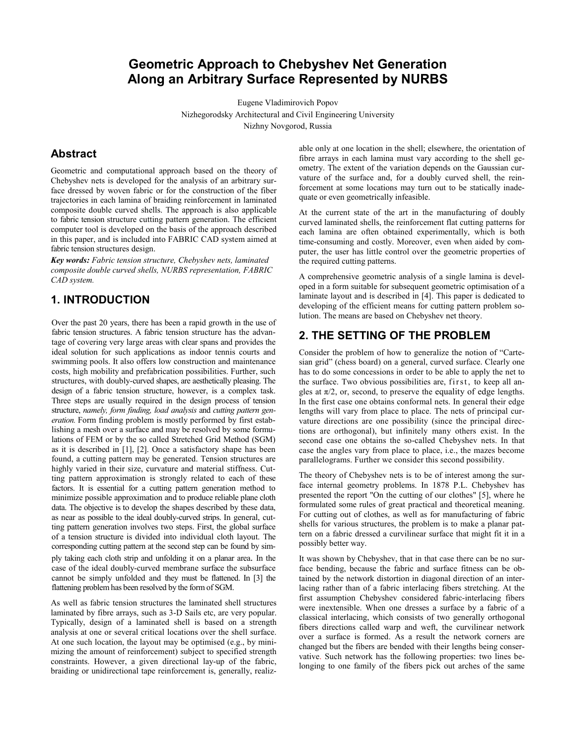# **Geometric Approach to Chebyshev Net Generation Along an Arbitrary Surface Represented by NURBS**

Eugene Vladimirovich Popov Nizhegorodsky Architectural and Civil Engineering University Nizhny Novgorod, Russia

## **Abstract**

Geometric and computational approach based on the theory of Chebyshev nets is developed for the analysis of an arbitrary surface dressed by woven fabric or for the construction of the fiber trajectories in each lamina of braiding reinforcement in laminated composite double curved shells. The approach is also applicable to fabric tension structure cutting pattern generation. The efficient computer tool is developed on the basis of the approach described in this paper, and is included into FABRIC CAD system aimed at fabric tension structures design.

*Key words: Fabric tension structure, Chebyshev nets, laminated composite double curved shells, NURBS representation, FABRIC CAD system.* 

## **1. INTRODUCTION**

Over the past 20 years, there has been a rapid growth in the use of fabric tension structures. A fabric tension structure has the advantage of covering very large areas with clear spans and provides the ideal solution for such applications as indoor tennis courts and swimming pools. It also offers low construction and maintenance costs, high mobility and prefabrication possibilities. Further, such structures, with doubly-curved shapes, are aesthetically pleasing. The design of a fabric tension structure, however, is a complex task. Three steps are usually required in the design process of tension structure, *namely, form finding, load analysis* and *cutting pattern generation.* Form finding problem is mostly performed by first establishing a mesh over a surface and may be resolved by some formulations of FEM or by the so called Stretched Grid Method (SGM) as it is described in [1], [2]. Once a satisfactory shape has been found, a cutting pattern may be generated. Tension structures are highly varied in their size, curvature and material stiffness. Cutting pattern approximation is strongly related to each of these factors. It is essential for a cutting pattern generation method to minimize possible approximation and to produce reliable plane cloth data. The objective is to develop the shapes described by these data, as near as possible to the ideal doubly-curved strips. In general, cutting pattern generation involves two steps. First, the global surface of a tension structure is divided into individual cloth layout. The corresponding cutting pattern at the second step can be found by simply taking each cloth strip and unfolding it on a planar area. In the case of the ideal doubly-curved membrane surface the subsurface cannot be simply unfolded and they must be flattened. In [3] the flattening problem has been resolved by the form of SGM.

As well as fabric tension structures the laminated shell structures laminated by fibre arrays, such as 3-D Sails etc, are very popular. Typically, design of a laminated shell is based on a strength analysis at one or several critical locations over the shell surface. At one such location, the layout may be optimised (e.g., by minimizing the amount of reinforcement) subject to specified strength constraints. However, a given directional lay-up of the fabric, braiding or unidirectional tape reinforcement is, generally, realiz-

able only at one location in the shell; elsewhere, the orientation of fibre arrays in each lamina must vary according to the shell geometry. The extent of the variation depends on the Gaussian curvature of the surface and, for a doubly curved shell, the reinforcement at some locations may turn out to be statically inadequate or even geometrically infeasible.

At the current state of the art in the manufacturing of doubly curved laminated shells, the reinforcement flat cutting patterns for each lamina are often obtained experimentally, which is both time-consuming and costly. Moreover, even when aided by computer, the user has little control over the geometric properties of the required cutting patterns.

A comprehensive geometric analysis of a single lamina is developed in a form suitable for subsequent geometric optimisation of a laminate layout and is described in [4]. This paper is dedicated to developing of the efficient means for cutting pattern problem solution. The means are based on Chebyshev net theory.

# **2. THE SETTING OF THE PROBLEM**

Consider the problem of how to generalize the notion of "Cartesian grid" (chess board) on a general, curved surface. Clearly one has to do some concessions in order to be able to apply the net to the surface. Two obvious possibilities are, first, to keep all angles at  $\pi/2$ , or, second, to preserve the equality of edge lengths. In the first case one obtains conformal nets. In general their edge lengths will vary from place to place. The nets of principal curvature directions are one possibility (since the principal directions are orthogonal), but infinitely many others exist. In the second case one obtains the so-called Chebyshev nets. In that case the angles vary from place to place, i.e., the mazes become parallelograms. Further we consider this second possibility.

The theory of Chebyshev nets is to be of interest among the surface internal geometry problems. In 1878 P.L. Chebyshev has presented the report "On the cutting of our clothes" [5], where he formulated some rules of great practical and theoretical meaning. For cutting out of clothes, as well as for manufacturing of fabric shells for various structures, the problem is to make a planar pattern on a fabric dressed a curvilinear surface that might fit it in a possibly better way.

It was shown by Chebyshev, that in that case there can be no surface bending, because the fabric and surface fitness can be obtained by the network distortion in diagonal direction of an interlacing rather than of a fabric interlacing fibers stretching. At the first assumption Chebyshev considered fabric-interlacing fibers were inextensible. When one dresses a surface by a fabric of a classical interlacing, which consists of two generally orthogonal fibers directions called warp and weft, the curvilinear network over a surface is formed. As a result the network corners are changed but the fibers are bended with their lengths being conservative. Such network has the following properties: two lines belonging to one family of the fibers pick out arches of the same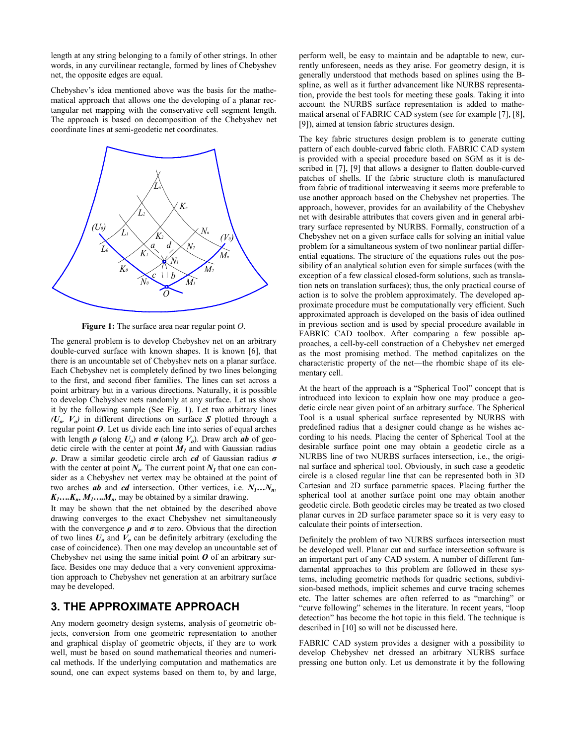length at any string belonging to a family of other strings. In other words, in any curvilinear rectangle, formed by lines of Chebyshev net, the opposite edges are equal.

Chebyshev's idea mentioned above was the basis for the mathematical approach that allows one the developing of a planar rectangular net mapping with the conservative cell segment length. The approach is based on decomposition of the Chebyshev net coordinate lines at semi-geodetic net coordinates.



**Figure 1:** The surface area near regular point *O*.

The general problem is to develop Chebyshev net on an arbitrary double-curved surface with known shapes. It is known [6], that there is an uncountable set of Chebyshev nets on a planar surface. Each Chebyshev net is completely defined by two lines belonging to the first, and second fiber families. The lines can set across a point arbitrary but in a various directions. Naturally, it is possible to develop Chebyshev nets randomly at any surface. Let us show it by the following sample (See Fig. 1). Let two arbitrary lines  $(U_{\alpha}, V_{\alpha})$  in different directions on surface *S* plotted through a regular point *O*. Let us divide each line into series of equal arches with length  $\rho$  (along  $U_o$ ) and  $\sigma$  (along  $V_o$ ). Draw arch *ab* of geodetic circle with the center at point  $M_1$  and with Gaussian radius  $\rho$ . Draw a similar geodetic circle arch *cd* of Gaussian radius  $\sigma$ with the center at point  $N_a$ . The current point  $N_l$  that one can consider as a Chebyshev net vertex may be obtained at the point of two arches *ab* and *cd* intersection. Other vertices, i.e.  $N_1...N_n$ ,  $K_1$ .... $K_n$ ,  $M_1$ .... $M_n$ , may be obtained by a similar drawing.

It may be shown that the net obtained by the described above drawing converges to the exact Chebyshev net simultaneously with the convergence  $\rho$  and  $\sigma$  to zero. Obvious that the direction of two lines  $U<sub>o</sub>$  and  $V<sub>o</sub>$  can be definitely arbitrary (excluding the case of coincidence). Then one may develop an uncountable set of Chebyshev net using the same initial point *O* of an arbitrary surface. Besides one may deduce that a very convenient approximation approach to Chebyshev net generation at an arbitrary surface may be developed.

#### **3. THE APPROXIMATE APPROACH**

Any modern geometry design systems, analysis of geometric objects, conversion from one geometric representation to another and graphical display of geometric objects, if they are to work well, must be based on sound mathematical theories and numerical methods. If the underlying computation and mathematics are sound, one can expect systems based on them to, by and large,

perform well, be easy to maintain and be adaptable to new, currently unforeseen, needs as they arise. For geometry design, it is generally understood that methods based on splines using the Bspline, as well as it further advancement like NURBS representation, provide the best tools for meeting these goals. Taking it into account the NURBS surface representation is added to mathematical arsenal of FABRIC CAD system (see for example [7], [8], [9]), aimed at tension fabric structures design.

The key fabric structures design problem is to generate cutting pattern of each double-curved fabric cloth. FABRIC CAD system is provided with a special procedure based on SGM as it is described in [7], [9] that allows a designer to flatten double-curved patches of shells. If the fabric structure cloth is manufactured from fabric of traditional interweaving it seems more preferable to use another approach based on the Chebyshev net properties. The approach, however, provides for an availability of the Chebyshev net with desirable attributes that covers given and in general arbitrary surface represented by NURBS. Formally, construction of a Chebyshev net on a given surface calls for solving an initial value problem for a simultaneous system of two nonlinear partial differential equations. The structure of the equations rules out the possibility of an analytical solution even for simple surfaces (with the exception of a few classical closed-form solutions, such as translation nets on translation surfaces); thus, the only practical course of action is to solve the problem approximately. The developed approximate procedure must be computationally very efficient. Such approximated approach is developed on the basis of idea outlined in previous section and is used by special procedure available in FABRIC CAD toolbox. After comparing a few possible approaches, a cell-by-cell construction of a Chebyshev net emerged as the most promising method. The method capitalizes on the characteristic property of the net—the rhombic shape of its elementary cell.

At the heart of the approach is a "Spherical Tool" concept that is introduced into lexicon to explain how one may produce a geodetic circle near given point of an arbitrary surface. The Spherical Tool is a usual spherical surface represented by NURBS with predefined radius that a designer could change as he wishes according to his needs. Placing the center of Spherical Tool at the desirable surface point one may obtain a geodetic circle as a NURBS line of two NURBS surfaces intersection, i.e., the original surface and spherical tool. Obviously, in such case a geodetic circle is a closed regular line that can be represented both in 3D Cartesian and 2D surface parametric spaces. Placing further the spherical tool at another surface point one may obtain another geodetic circle. Both geodetic circles may be treated as two closed planar curves in 2D surface parameter space so it is very easy to calculate their points of intersection.

Definitely the problem of two NURBS surfaces intersection must be developed well. Planar cut and surface intersection software is an important part of any CAD system. A number of different fundamental approaches to this problem are followed in these systems, including geometric methods for quadric sections, subdivision-based methods, implicit schemes and curve tracing schemes etc. The latter schemes are often referred to as "marching" or "curve following" schemes in the literature. In recent years, "loop detection" has become the hot topic in this field. The technique is described in [10] so will not be discussed here.

FABRIC CAD system provides a designer with a possibility to develop Chebyshev net dressed an arbitrary NURBS surface pressing one button only. Let us demonstrate it by the following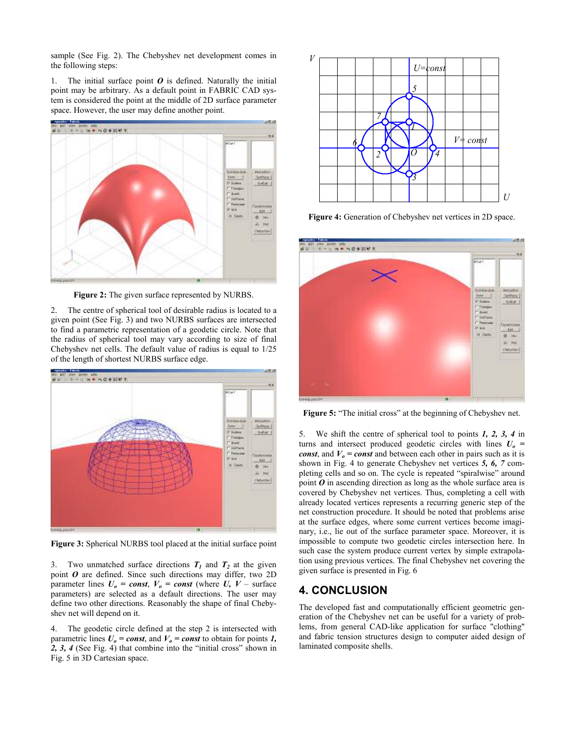sample (See Fig. 2). The Chebyshev net development comes in the following steps:

1. The initial surface point  $\boldsymbol{0}$  is defined. Naturally the initial point may be arbitrary. As a default point in FABRIC CAD system is considered the point at the middle of 2D surface parameter space. However, the user may define another point.



**Figure 2:** The given surface represented by NURBS.

2. The centre of spherical tool of desirable radius is located to a given point (See Fig. 3) and two NURBS surfaces are intersected to find a parametric representation of a geodetic circle. Note that the radius of spherical tool may vary according to size of final Chebyshev net cells. The default value of radius is equal to 1/25 of the length of shortest NURBS surface edge.



**Figure 3:** Spherical NURBS tool placed at the initial surface point

3. Two unmatched surface directions  $T_1$  and  $T_2$  at the given point *O* are defined. Since such directions may differ, two 2D parameter lines  $U_0 = const$ ,  $V_0 = const$  (where  $U$ ,  $V - surface$ parameters) are selected as a default directions. The user may define two other directions. Reasonably the shape of final Chebyshev net will depend on it.

4. The geodetic circle defined at the step 2 is intersected with parametric lines  $U_0 = const$ , and  $V_0 = const$  to obtain for points *1*, *2, 3, 4* (See Fig. 4) that combine into the "initial cross" shown in Fig. 5 in 3D Cartesian space.



**Figure 4:** Generation of Chebyshev net vertices in 2D space.



**Figure 5:** "The initial cross" at the beginning of Chebyshev net.

5. We shift the centre of spherical tool to points *1, 2, 3, 4* in turns and intersect produced geodetic circles with lines  $U<sub>o</sub>$  = *const*, and  $V_0$  = *const* and between each other in pairs such as it is shown in Fig. 4 to generate Chebyshev net vertices *5, 6, 7* completing cells and so on. The cycle is repeated "spiralwise" around point *O* in ascending direction as long as the whole surface area is covered by Chebyshev net vertices. Thus, completing a cell with already located vertices represents a recurring generic step of the net construction procedure. It should be noted that problems arise at the surface edges, where some current vertices become imaginary, i.e., lie out of the surface parameter space. Moreover, it is impossible to compute two geodetic circles intersection here. In such case the system produce current vertex by simple extrapolation using previous vertices. The final Chebyshev net covering the given surface is presented in Fig. 6

## **4. CONCLUSION**

The developed fast and computationally efficient geometric generation of the Chebyshev net can be useful for a variety of problems, from general CAD-like application for surface "clothing" and fabric tension structures design to computer aided design of laminated composite shells.